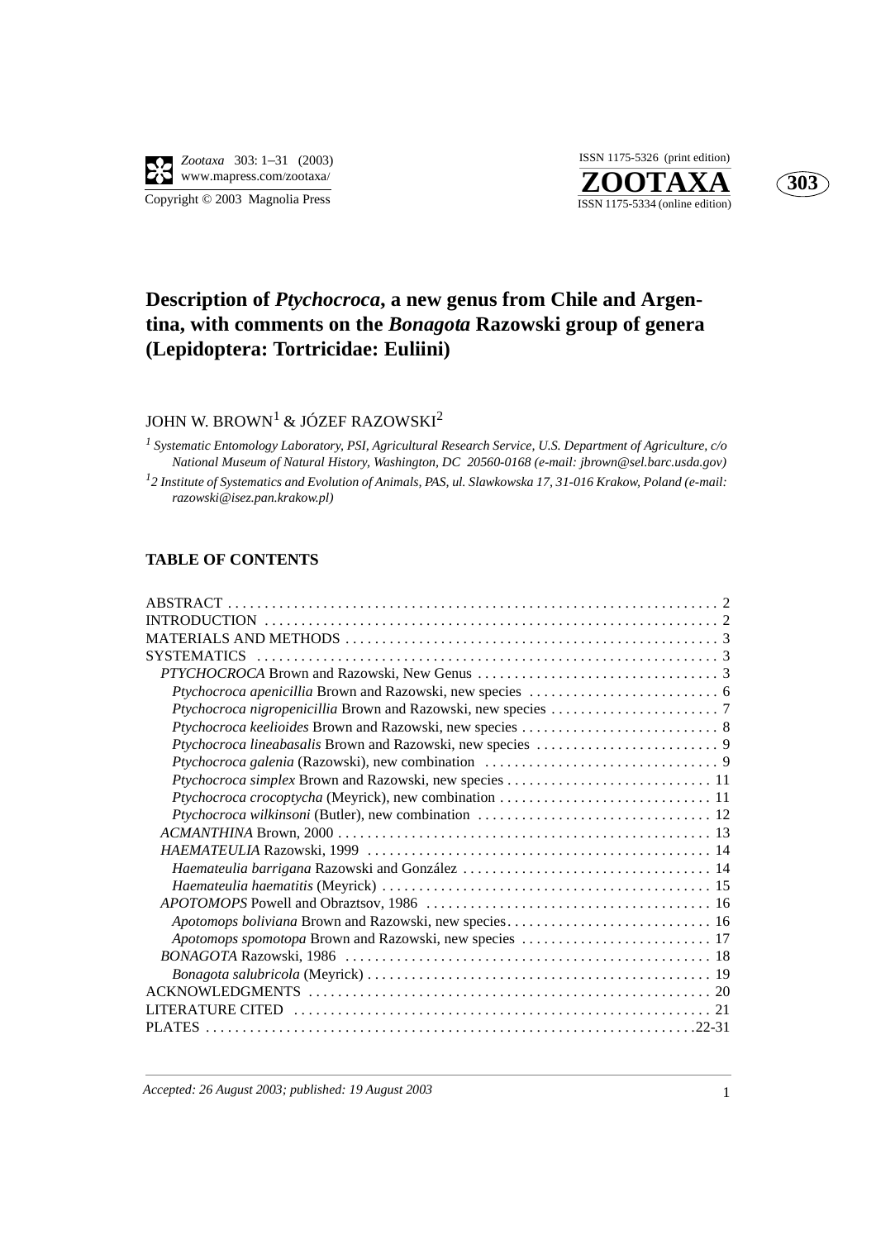**ZOOTAXA**<br>ISSN 1175-5334 (online edition) ISSN 1175-5326 (print edition)



## **Description of** *Ptychocroca***, a new genus from Chile and Argentina, with comments on the** *Bonagota* **Razowski group of genera (Lepidoptera: Tortricidae: Euliini)**

### JOHN W. BROWN<sup>1</sup> & JÓZEF RAZOWSKI<sup>2</sup>

*<sup>1</sup> Systematic Entomology Laboratory, PSI, Agricultural Research Service, U.S. Department of Agriculture, c/o National Museum of Natural History, Washington, DC 20560-0168 (e-mail: jbrown@sel.barc.usda.gov) 1 2 Institute of Systematics and Evolution of Animals, PAS, ul. Slawkowska 17, 31-016 Krakow, Poland (e-mail: razowski@isez.pan.krakow.pl)*

### **TABLE OF CONTENTS**

| Ptychocroca crocoptycha (Meyrick), new combination  11  |
|---------------------------------------------------------|
|                                                         |
|                                                         |
|                                                         |
|                                                         |
|                                                         |
|                                                         |
|                                                         |
| Apotomops spomotopa Brown and Razowski, new species  17 |
|                                                         |
|                                                         |
|                                                         |
|                                                         |
|                                                         |